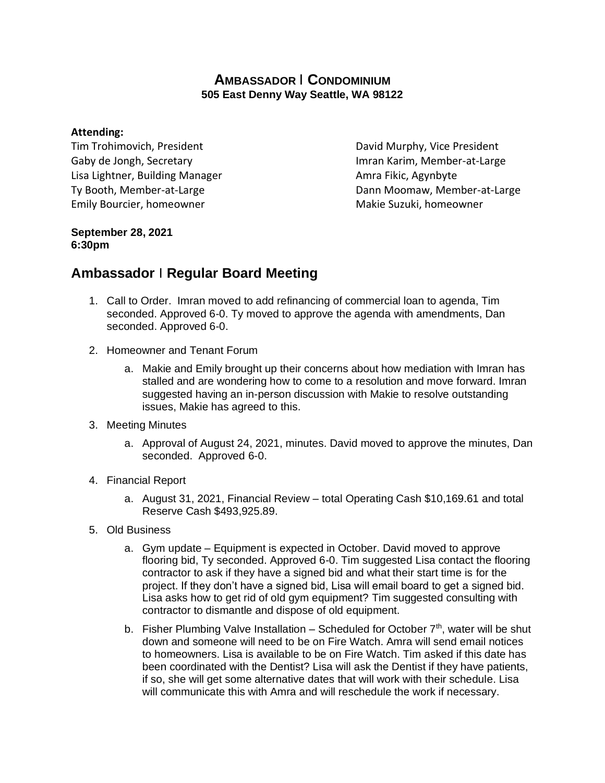## **AMBASSADOR** I **CONDOMINIUM 505 East Denny Way Seattle, WA 98122**

## **Attending:**

Tim Trohimovich, President **David Murphy, Vice President** Gaby de Jongh, Secretary **Imran Karim, Member-at-Large** Lisa Lightner, Building Manager **Amra Fikic, Agynbyte** Emily Bourcier, homeowner **Makie Suzuki, homeowner** Makie Suzuki, homeowner

Ty Booth, Member-at-Large Ty Booth, Member-at-Large Dann Moomaw, Member-at-Large

## **September 28, 2021 6:30pm**

## **Ambassador** I **Regular Board Meeting**

- 1. Call to Order. Imran moved to add refinancing of commercial loan to agenda, Tim seconded. Approved 6-0. Ty moved to approve the agenda with amendments, Dan seconded. Approved 6-0.
- 2. Homeowner and Tenant Forum
	- a. Makie and Emily brought up their concerns about how mediation with Imran has stalled and are wondering how to come to a resolution and move forward. Imran suggested having an in-person discussion with Makie to resolve outstanding issues, Makie has agreed to this.
- 3. Meeting Minutes
	- a. Approval of August 24, 2021, minutes. David moved to approve the minutes, Dan seconded. Approved 6-0.
- 4. Financial Report
	- a. August 31, 2021, Financial Review total Operating Cash \$10,169.61 and total Reserve Cash \$493,925.89.
- 5. Old Business
	- a. Gym update Equipment is expected in October. David moved to approve flooring bid, Ty seconded. Approved 6-0. Tim suggested Lisa contact the flooring contractor to ask if they have a signed bid and what their start time is for the project. If they don't have a signed bid, Lisa will email board to get a signed bid. Lisa asks how to get rid of old gym equipment? Tim suggested consulting with contractor to dismantle and dispose of old equipment.
	- b. Fisher Plumbing Valve Installation Scheduled for October  $7<sup>th</sup>$ , water will be shut down and someone will need to be on Fire Watch. Amra will send email notices to homeowners. Lisa is available to be on Fire Watch. Tim asked if this date has been coordinated with the Dentist? Lisa will ask the Dentist if they have patients, if so, she will get some alternative dates that will work with their schedule. Lisa will communicate this with Amra and will reschedule the work if necessary.